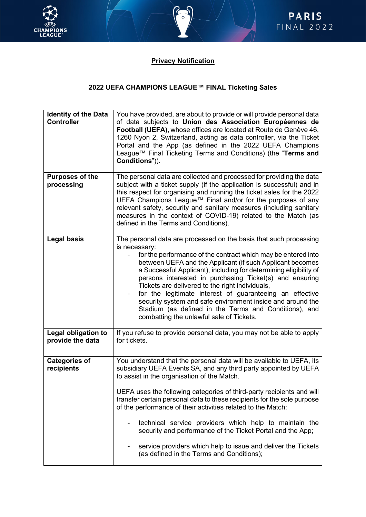



## **Privacy Notification**

## **2022 UEFA CHAMPIONS LEAGUE™ FINAL Ticketing Sales**

| <b>Identity of the Data</b><br><b>Controller</b> | You have provided, are about to provide or will provide personal data<br>of data subjects to Union des Association Européennes de<br>Football (UEFA), whose offices are located at Route de Genève 46,<br>1260 Nyon 2, Switzerland, acting as data controller, via the Ticket<br>Portal and the App (as defined in the 2022 UEFA Champions<br>League™ Final Ticketing Terms and Conditions) (the "Terms and<br>Conditions")).                                                                                                                                                                                                                     |
|--------------------------------------------------|---------------------------------------------------------------------------------------------------------------------------------------------------------------------------------------------------------------------------------------------------------------------------------------------------------------------------------------------------------------------------------------------------------------------------------------------------------------------------------------------------------------------------------------------------------------------------------------------------------------------------------------------------|
| <b>Purposes of the</b><br>processing             | The personal data are collected and processed for providing the data<br>subject with a ticket supply (if the application is successful) and in<br>this respect for organising and running the ticket sales for the 2022<br>UEFA Champions League™ Final and/or for the purposes of any<br>relevant safety, security and sanitary measures (including sanitary<br>measures in the context of COVID-19) related to the Match (as<br>defined in the Terms and Conditions).                                                                                                                                                                           |
| <b>Legal basis</b>                               | The personal data are processed on the basis that such processing<br>is necessary:<br>for the performance of the contract which may be entered into<br>between UEFA and the Applicant (if such Applicant becomes<br>a Successful Applicant), including for determining eligibility of<br>persons interested in purchasing Ticket(s) and ensuring<br>Tickets are delivered to the right individuals,<br>for the legitimate interest of guaranteeing an effective<br>security system and safe environment inside and around the<br>Stadium (as defined in the Terms and Conditions), and<br>combatting the unlawful sale of Tickets.                |
| <b>Legal obligation to</b><br>provide the data   | If you refuse to provide personal data, you may not be able to apply<br>for tickets.                                                                                                                                                                                                                                                                                                                                                                                                                                                                                                                                                              |
| <b>Categories of</b><br>recipients               | You understand that the personal data will be available to UEFA, its<br>subsidiary UEFA Events SA, and any third party appointed by UEFA<br>to assist in the organisation of the Match.<br>UEFA uses the following categories of third-party recipients and will<br>transfer certain personal data to these recipients for the sole purpose<br>of the performance of their activities related to the Match:<br>technical service providers which help to maintain the<br>security and performance of the Ticket Portal and the App;<br>service providers which help to issue and deliver the Tickets<br>(as defined in the Terms and Conditions); |